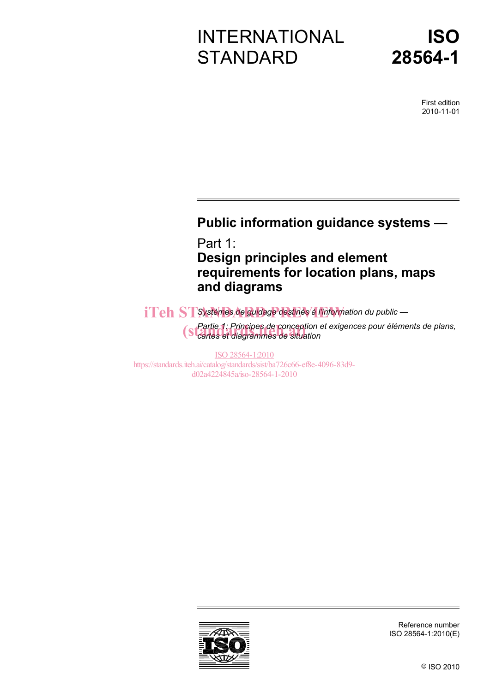# INTERNATIONAL **STANDARD**

# **ISO 28564-1**

First edition 2010-11-01

## **Public information guidance systems —**

Part 1: **Design principles and element requirements for location plans, maps and diagrams** 

iTeh STSystèmes de guidage destinés à l'information du public —

*Partie 1: Principes de conception et exigences pour éléments de plans, Cartie 1: Principes de conception e*<br>
Standard diagrammes de situation

ISO 28564-1:2010 https://standards.iteh.ai/catalog/standards/sist/ba726c66-ef8e-4096-83d9 d02a4224845a/iso-28564-1-2010



Reference number ISO 28564-1:2010(E)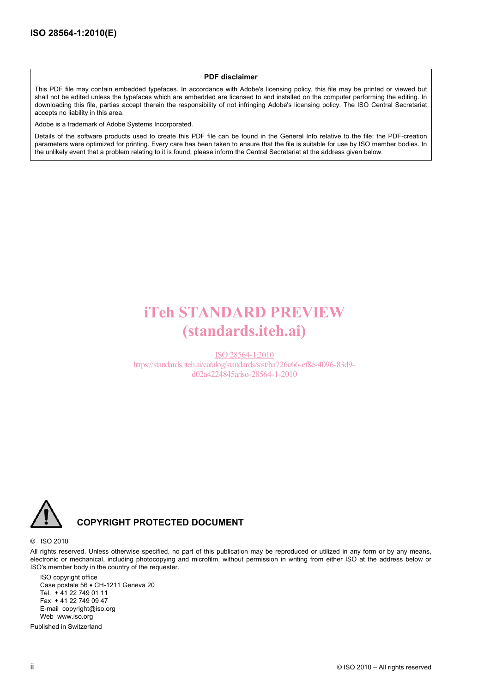#### **PDF disclaimer**

This PDF file may contain embedded typefaces. In accordance with Adobe's licensing policy, this file may be printed or viewed but shall not be edited unless the typefaces which are embedded are licensed to and installed on the computer performing the editing. In downloading this file, parties accept therein the responsibility of not infringing Adobe's licensing policy. The ISO Central Secretariat accepts no liability in this area.

Adobe is a trademark of Adobe Systems Incorporated.

Details of the software products used to create this PDF file can be found in the General Info relative to the file; the PDF-creation parameters were optimized for printing. Every care has been taken to ensure that the file is suitable for use by ISO member bodies. In the unlikely event that a problem relating to it is found, please inform the Central Secretariat at the address given below.

## iTeh STANDARD PREVIEW (standards.iteh.ai)

ISO 28564-1:2010 https://standards.iteh.ai/catalog/standards/sist/ba726c66-ef8e-4096-83d9 d02a4224845a/iso-28564-1-2010



#### **COPYRIGHT PROTECTED DOCUMENT**

#### © ISO 2010

All rights reserved. Unless otherwise specified, no part of this publication may be reproduced or utilized in any form or by any means, electronic or mechanical, including photocopying and microfilm, without permission in writing from either ISO at the address below or ISO's member body in the country of the requester.

ISO copyright office Case postale 56 • CH-1211 Geneva 20 Tel. + 41 22 749 01 11 Fax + 41 22 749 09 47 E-mail copyright@iso.org Web www.iso.org

Published in Switzerland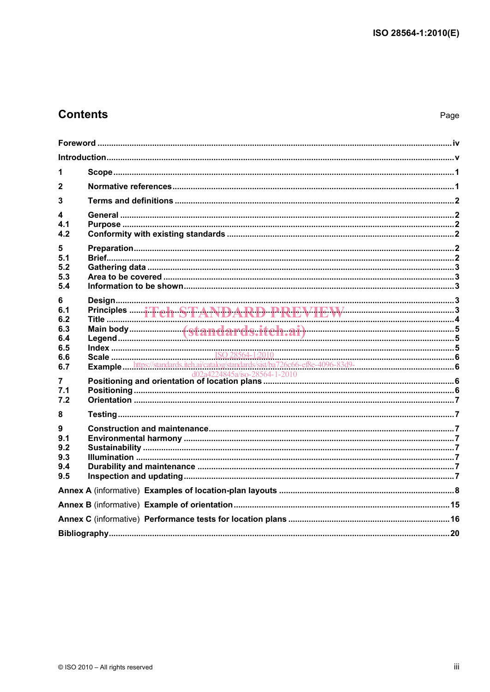## **Contents**

| 1                                    |  |  |
|--------------------------------------|--|--|
| 2                                    |  |  |
| 3                                    |  |  |
| 4<br>4.1<br>4.2                      |  |  |
| 5.<br>5.1<br>5.2<br>5.3<br>5.4       |  |  |
| 6<br>6.1<br>6.2                      |  |  |
| 6.3<br>6.4<br>6.5<br>6.6<br>6.7      |  |  |
| 7<br>7.1<br>7.2                      |  |  |
| 8                                    |  |  |
| 9<br>9.1<br>9.2<br>9.3<br>9.4<br>9.5 |  |  |
|                                      |  |  |
|                                      |  |  |
|                                      |  |  |
|                                      |  |  |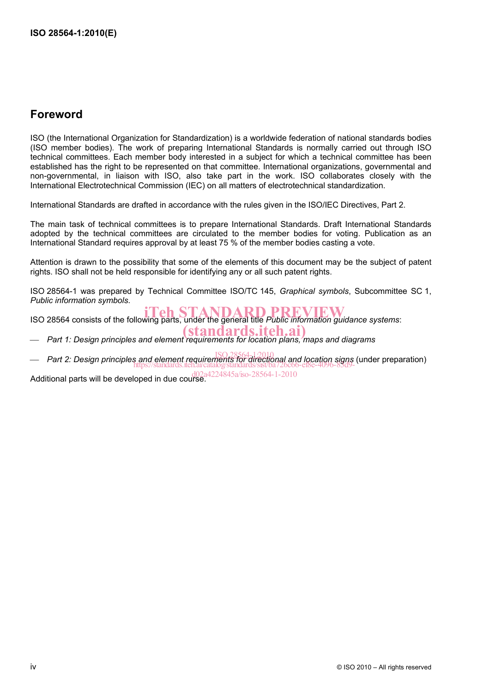### **Foreword**

ISO (the International Organization for Standardization) is a worldwide federation of national standards bodies (ISO member bodies). The work of preparing International Standards is normally carried out through ISO technical committees. Each member body interested in a subject for which a technical committee has been established has the right to be represented on that committee. International organizations, governmental and non-governmental, in liaison with ISO, also take part in the work. ISO collaborates closely with the International Electrotechnical Commission (IEC) on all matters of electrotechnical standardization.

International Standards are drafted in accordance with the rules given in the ISO/IEC Directives, Part 2.

The main task of technical committees is to prepare International Standards. Draft International Standards adopted by the technical committees are circulated to the member bodies for voting. Publication as an International Standard requires approval by at least 75 % of the member bodies casting a vote.

Attention is drawn to the possibility that some of the elements of this document may be the subject of patent rights. ISO shall not be held responsible for identifying any or all such patent rights.

ISO 28564-1 was prepared by Technical Committee ISO/TC 145, *Graphical symbols*, Subcommittee SC 1, *Public information symbols*.

ISO 28564 consists of the following parts, under the general title *Public information guidance systems*: iTeh STANDARD PREVIEW

(standards.iteh.ai)

- Part 1: Design principles and element requirements for location plans, maps and diagrams
- ⎯ *Part 2: Design principles and element requirements for directional and location signs* (under preparation) ISO 28564-1:2010 https://standards.iteh.ai/catalog/standards/sist/ba726c66-ef8e-4096-83d9-

Additional parts will be developed in due course.  $\frac{d02a4224845a}{iso-28564-1-2010}$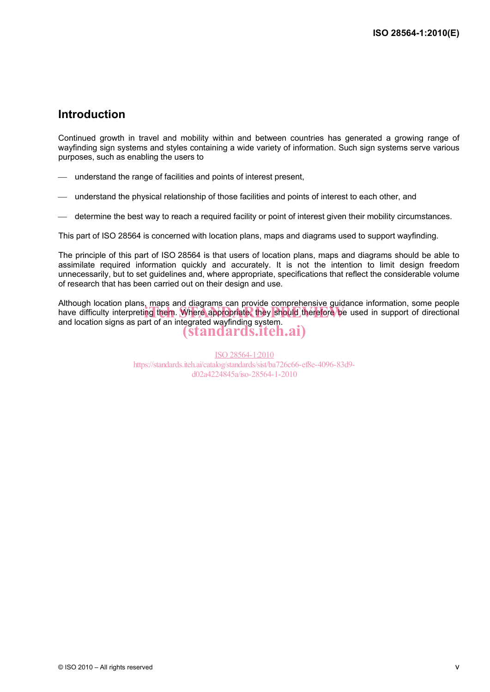### **Introduction**

Continued growth in travel and mobility within and between countries has generated a growing range of wayfinding sign systems and styles containing a wide variety of information. Such sign systems serve various purposes, such as enabling the users to

- ⎯ understand the range of facilities and points of interest present,
- ⎯ understand the physical relationship of those facilities and points of interest to each other, and
- ⎯ determine the best way to reach a required facility or point of interest given their mobility circumstances.

This part of ISO 28564 is concerned with location plans, maps and diagrams used to support wayfinding.

The principle of this part of ISO 28564 is that users of location plans, maps and diagrams should be able to assimilate required information quickly and accurately. It is not the intention to limit design freedom unnecessarily, but to set guidelines and, where appropriate, specifications that reflect the considerable volume of research that has been carried out on their design and use.

Although location plans, maps and diagrams can provide comprehensive guidance information, some people Although location plans, maps and diagrams can provide complementate galaxities momitation, some people<br>have difficulty interpreting them. Where appropriate, they should therefore be used in support of directional and location signs as part of an integrated wayfinding system. (standards.iteh.ai)

> ISO 28564-1:2010 https://standards.iteh.ai/catalog/standards/sist/ba726c66-ef8e-4096-83d9 d02a4224845a/iso-28564-1-2010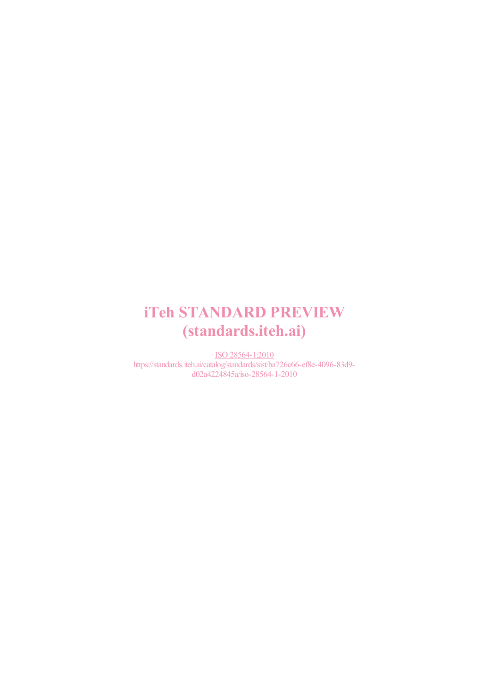## iTeh STANDARD PREVIEW (standards.iteh.ai)

ISO 28564-1:2010 https://standards.iteh.ai/catalog/standards/sist/ba726c66-ef8e-4096-83d9 d02a4224845a/iso-28564-1-2010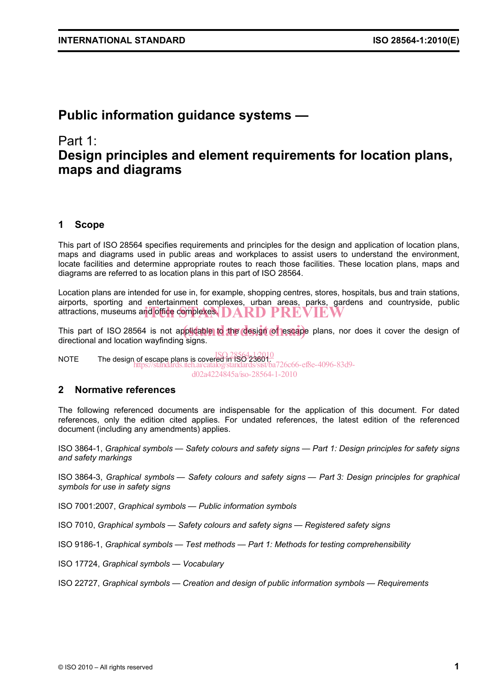## **Public information guidance systems —**

### Part 1:

## **Design principles and element requirements for location plans, maps and diagrams**

#### **1 Scope**

This part of ISO 28564 specifies requirements and principles for the design and application of location plans, maps and diagrams used in public areas and workplaces to assist users to understand the environment, locate facilities and determine appropriate routes to reach those facilities. These location plans, maps and diagrams are referred to as location plans in this part of ISO 28564.

Location plans are intended for use in, for example, shopping centres, stores, hospitals, bus and train stations, airports, sporting and entertainment complexes, urban areas, parks, gardens and countryside, public attractions, museums and office complexes. DARD PREVIEW

This part of ISO 28564 is not applicable to the design of escape plans, nor does it cover the design of directional and location wayfinding signs.

NOTE The design of escape plans is covered in ISO 23601. ISO 28564-1:2010 https://standards.iteh.ai/catalog/standards/sist/ba726c66-ef8e-4096-83d9 d02a4224845a/iso-28564-1-2010

#### **2 Normative references**

The following referenced documents are indispensable for the application of this document. For dated references, only the edition cited applies. For undated references, the latest edition of the referenced document (including any amendments) applies.

ISO 3864-1, *Graphical symbols — Safety colours and safety signs — Part 1: Design principles for safety signs and safety markings*

ISO 3864-3, *Graphical symbols — Safety colours and safety signs — Part 3: Design principles for graphical symbols for use in safety signs*

ISO 7001:2007, *Graphical symbols — Public information symbols*

ISO 7010, *Graphical symbols — Safety colours and safety signs — Registered safety signs*

ISO 9186-1, *Graphical symbols — Test methods — Part 1: Methods for testing comprehensibility*

ISO 17724, *Graphical symbols — Vocabulary*

ISO 22727, *Graphical symbols — Creation and design of public information symbols — Requirements*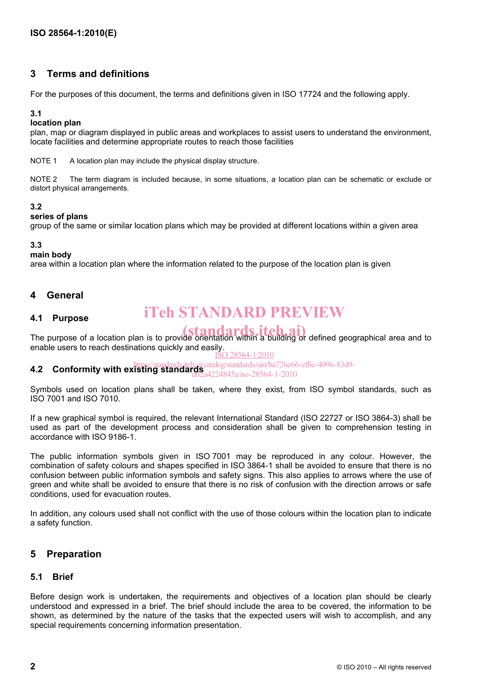#### **3 Terms and definitions**

For the purposes of this document, the terms and definitions given in ISO 17724 and the following apply.

#### **3.1**

#### **location plan**

plan, map or diagram displayed in public areas and workplaces to assist users to understand the environment, locate facilities and determine appropriate routes to reach those facilities

NOTE 1 A location plan may include the physical display structure.

NOTE 2 The term diagram is included because, in some situations, a location plan can be schematic or exclude or distort physical arrangements.

#### **3.2**

#### **series of plans**

group of the same or similar location plans which may be provided at different locations within a given area

#### **3.3**

#### **main body**

area within a location plan where the information related to the purpose of the location plan is given

#### **4 General**

#### **4.1 Purpose**

## iTeh STANDARD PREVIEW

The purpose of a location plan is to provide orientation within a building or defined geographical area and to enable users to reach destinations quickly and easily.

ISO 28564-1:2010

## **4.2 Conformity with existing standards** *iteh.ai/catalog/standards/sist/ba726c66-ef8e-4096-83d9-*<br>4.2 **Conformity with existing standards** *and as a contention 28564,1,2010*

#### d02a4224845a/iso-28564-1-2010

Symbols used on location plans shall be taken, where they exist, from ISO symbol standards, such as ISO 7001 and ISO 7010.

If a new graphical symbol is required, the relevant International Standard (ISO 22727 or ISO 3864-3) shall be used as part of the development process and consideration shall be given to comprehension testing in accordance with ISO 9186-1.

The public information symbols given in ISO 7001 may be reproduced in any colour. However, the combination of safety colours and shapes specified in ISO 3864-1 shall be avoided to ensure that there is no confusion between public information symbols and safety signs. This also applies to arrows where the use of green and white shall be avoided to ensure that there is no risk of confusion with the direction arrows or safe conditions, used for evacuation routes.

In addition, any colours used shall not conflict with the use of those colours within the location plan to indicate a safety function.

#### **5 Preparation**

#### **5.1 Brief**

Before design work is undertaken, the requirements and objectives of a location plan should be clearly understood and expressed in a brief. The brief should include the area to be covered, the information to be shown, as determined by the nature of the tasks that the expected users will wish to accomplish, and any special requirements concerning information presentation.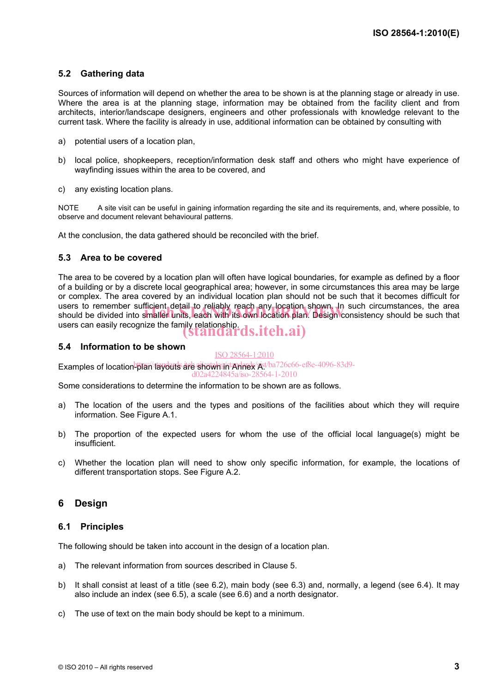#### **5.2 Gathering data**

Sources of information will depend on whether the area to be shown is at the planning stage or already in use. Where the area is at the planning stage, information may be obtained from the facility client and from architects, interior/landscape designers, engineers and other professionals with knowledge relevant to the current task. Where the facility is already in use, additional information can be obtained by consulting with

- a) potential users of a location plan,
- b) local police, shopkeepers, reception/information desk staff and others who might have experience of wayfinding issues within the area to be covered, and
- c) any existing location plans.

NOTE A site visit can be useful in gaining information regarding the site and its requirements, and, where possible, to observe and document relevant behavioural patterns.

At the conclusion, the data gathered should be reconciled with the brief.

#### **5.3 Area to be covered**

The area to be covered by a location plan will often have logical boundaries, for example as defined by a floor of a building or by a discrete local geographical area; however, in some circumstances this area may be large or complex. The area covered by an individual location plan should not be such that it becomes difficult for users to remember sufficient detail to reliably reach any location shown. In such circumstances, the area users to remember sufficient detail to reliably reach any location shown. In such circumstances, the area<br>should be divided into smaller units, each with its own location plan. Design consistency should be such that users can easily recognize the family relationship.<br>  $( \text{SIandards.} \text{iteh.ai})$ 

#### **5.4 Information to be shown**

#### ISO 28564-1:2010

Examples of location<sup>b</sup>plan layouts are shown and Annex Ast/ba726c66-ef8e-4096-83d9-

d02a4224845a/iso-28564-1-2010

Some considerations to determine the information to be shown are as follows.

- a) The location of the users and the types and positions of the facilities about which they will require information. See Figure A.1.
- b) The proportion of the expected users for whom the use of the official local language(s) might be insufficient.
- c) Whether the location plan will need to show only specific information, for example, the locations of different transportation stops. See Figure A.2.

#### **6 Design**

#### **6.1 Principles**

The following should be taken into account in the design of a location plan.

- a) The relevant information from sources described in Clause 5.
- b) It shall consist at least of a title (see 6.2), main body (see 6.3) and, normally, a legend (see 6.4). It may also include an index (see 6.5), a scale (see 6.6) and a north designator.
- c) The use of text on the main body should be kept to a minimum.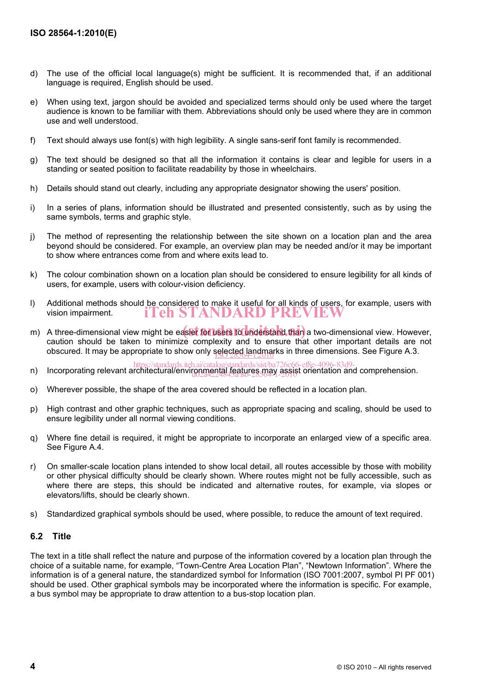- d) The use of the official local language(s) might be sufficient. It is recommended that, if an additional language is required, English should be used.
- e) When using text, jargon should be avoided and specialized terms should only be used where the target audience is known to be familiar with them. Abbreviations should only be used where they are in common use and well understood.
- f) Text should always use font(s) with high legibility. A single sans-serif font family is recommended.
- g) The text should be designed so that all the information it contains is clear and legible for users in a standing or seated position to facilitate readability by those in wheelchairs.
- h) Details should stand out clearly, including any appropriate designator showing the users' position.
- i) In a series of plans, information should be illustrated and presented consistently, such as by using the same symbols, terms and graphic style.
- j) The method of representing the relationship between the site shown on a location plan and the area beyond should be considered. For example, an overview plan may be needed and/or it may be important to show where entrances come from and where exits lead to.
- k) The colour combination shown on a location plan should be considered to ensure legibility for all kinds of users, for example, users with colour-vision deficiency.
- l) Additional methods should be considered to make it useful for all kinds of users, for example, users with vision impairment. iTeh STANDARD PREVIEW
- m) A three-dimensional view might be easiet for users to understand than a two-dimensional view. However, caution should be taken to minimize complexity and to ensure that other important details are not obscured. It may be appropriate to show only selected landmarks in three dimensions. See Figure A.3.
- https://standards.iteh.ai/catalog/standards/sist/ba726c66-ef8e-4096-83d9-<br>https://standards.iteh.ai/catalog/standards/sist/ba726c66-ef8e-4096-83d9-<br>https://standard.iteh.virgamental.features.may assist orientation and comp d02a4224845a/iso-28564-1-2010
- o) Wherever possible, the shape of the area covered should be reflected in a location plan.
- p) High contrast and other graphic techniques, such as appropriate spacing and scaling, should be used to ensure legibility under all normal viewing conditions.
- q) Where fine detail is required, it might be appropriate to incorporate an enlarged view of a specific area. See Figure A.4.
- r) On smaller-scale location plans intended to show local detail, all routes accessible by those with mobility or other physical difficulty should be clearly shown. Where routes might not be fully accessible, such as where there are steps, this should be indicated and alternative routes, for example, via slopes or elevators/lifts, should be clearly shown.
- s) Standardized graphical symbols should be used, where possible, to reduce the amount of text required.

#### **6.2 Title**

The text in a title shall reflect the nature and purpose of the information covered by a location plan through the choice of a suitable name, for example, "Town-Centre Area Location Plan", "Newtown Information". Where the information is of a general nature, the standardized symbol for Information (ISO 7001:2007, symbol PI PF 001) should be used. Other graphical symbols may be incorporated where the information is specific. For example, a bus symbol may be appropriate to draw attention to a bus-stop location plan.